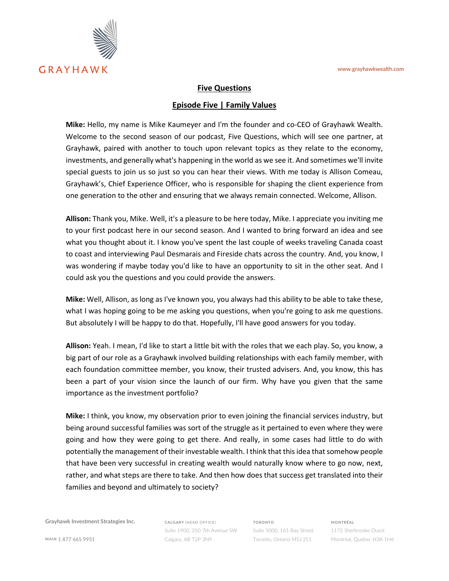

## **Five Questions**

## **Episode Five | Family Values**

**Mike:** Hello, my name is Mike Kaumeyer and I'm the founder and co-CEO of Grayhawk Wealth. Welcome to the second season of our podcast, Five Questions, which will see one partner, at Grayhawk, paired with another to touch upon relevant topics as they relate to the economy, investments, and generally what's happening in the world as we see it. And sometimes we'll invite special guests to join us so just so you can hear their views. With me today is Allison Comeau, Grayhawk's, Chief Experience Officer, who is responsible for shaping the client experience from one generation to the other and ensuring that we always remain connected. Welcome, Allison.

**Allison:** Thank you, Mike. Well, it's a pleasure to be here today, Mike. I appreciate you inviting me to your first podcast here in our second season. And I wanted to bring forward an idea and see what you thought about it. I know you've spent the last couple of weeks traveling Canada coast to coast and interviewing Paul Desmarais and Fireside chats across the country. And, you know, I was wondering if maybe today you'd like to have an opportunity to sit in the other seat. And I could ask you the questions and you could provide the answers.

**Mike:** Well, Allison, as long as I've known you, you always had this ability to be able to take these, what I was hoping going to be me asking you questions, when you're going to ask me questions. But absolutely I will be happy to do that. Hopefully, I'll have good answers for you today.

**Allison:** Yeah. I mean, I'd like to start a little bit with the roles that we each play. So, you know, a big part of our role as a Grayhawk involved building relationships with each family member, with each foundation committee member, you know, their trusted advisers. And, you know, this has been a part of your vision since the launch of our firm. Why have you given that the same importance as the investment portfolio?

**Mike:** I think, you know, my observation prior to even joining the financial services industry, but being around successful families was sort of the struggle as it pertained to even where they were going and how they were going to get there. And really, in some cases had little to do with potentially the management of their investable wealth. I think that this idea that somehow people that have been very successful in creating wealth would naturally know where to go now, next, rather, and what steps are there to take. And then how does that success get translated into their families and beyond and ultimately to society?

**Grayhawk Investment Strategies Inc.**

**CALGARY** (HEAD OFFICE) Suite 1900, 350 7th Avenue SW Calgary, AB T2P 3N9

**TORONTO** Suite 5000, 161 Bay Street Toronto, Ontario M5J 2S1 **MONTRÉAL**

1172 Sherbrooke Ouest Montréal, Quebec H3A 1H6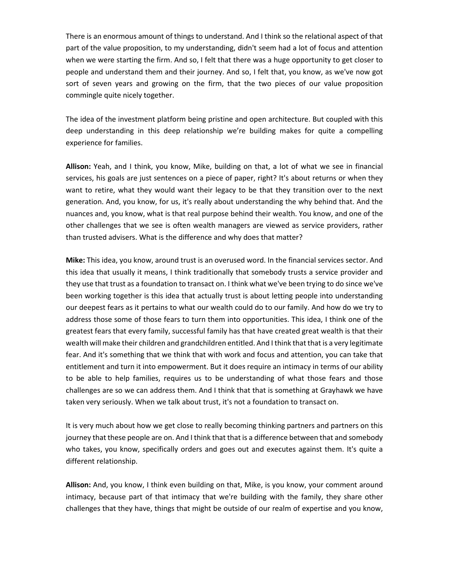There is an enormous amount of things to understand. And I think so the relational aspect of that part of the value proposition, to my understanding, didn't seem had a lot of focus and attention when we were starting the firm. And so, I felt that there was a huge opportunity to get closer to people and understand them and their journey. And so, I felt that, you know, as we've now got sort of seven years and growing on the firm, that the two pieces of our value proposition commingle quite nicely together.

The idea of the investment platform being pristine and open architecture. But coupled with this deep understanding in this deep relationship we're building makes for quite a compelling experience for families.

**Allison:** Yeah, and I think, you know, Mike, building on that, a lot of what we see in financial services, his goals are just sentences on a piece of paper, right? It's about returns or when they want to retire, what they would want their legacy to be that they transition over to the next generation. And, you know, for us, it's really about understanding the why behind that. And the nuances and, you know, what is that real purpose behind their wealth. You know, and one of the other challenges that we see is often wealth managers are viewed as service providers, rather than trusted advisers. What is the difference and why does that matter?

**Mike:** This idea, you know, around trust is an overused word. In the financial services sector. And this idea that usually it means, I think traditionally that somebody trusts a service provider and they use that trust as a foundation to transact on. I think what we've been trying to do since we've been working together is this idea that actually trust is about letting people into understanding our deepest fears as it pertains to what our wealth could do to our family. And how do we try to address those some of those fears to turn them into opportunities. This idea, I think one of the greatest fears that every family, successful family has that have created great wealth is that their wealth will make their children and grandchildren entitled. And I think that that is a very legitimate fear. And it's something that we think that with work and focus and attention, you can take that entitlement and turn it into empowerment. But it does require an intimacy in terms of our ability to be able to help families, requires us to be understanding of what those fears and those challenges are so we can address them. And I think that that is something at Grayhawk we have taken very seriously. When we talk about trust, it's not a foundation to transact on.

It is very much about how we get close to really becoming thinking partners and partners on this journey that these people are on. And I think that that is a difference between that and somebody who takes, you know, specifically orders and goes out and executes against them. It's quite a different relationship.

**Allison:** And, you know, I think even building on that, Mike, is you know, your comment around intimacy, because part of that intimacy that we're building with the family, they share other challenges that they have, things that might be outside of our realm of expertise and you know,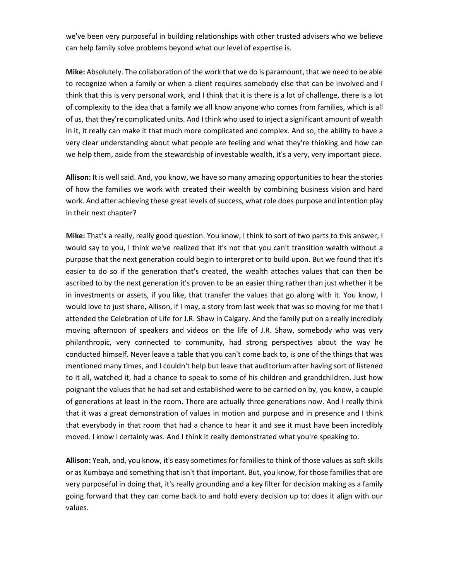we've been very purposeful in building relationships with other trusted advisers who we believe can help family solve problems beyond what our level of expertise is.

**Mike:** Absolutely. The collaboration of the work that we do is paramount, that we need to be able to recognize when a family or when a client requires somebody else that can be involved and I think that this is very personal work, and I think that it is there is a lot of challenge, there is a lot of complexity to the idea that a family we all know anyone who comes from families, which is all of us, that they're complicated units. And I think who used to inject a significant amount of wealth in it, it really can make it that much more complicated and complex. And so, the ability to have a very clear understanding about what people are feeling and what they're thinking and how can we help them, aside from the stewardship of investable wealth, it's a very, very important piece.

**Allison:** It is well said. And, you know, we have so many amazing opportunities to hear the stories of how the families we work with created their wealth by combining business vision and hard work. And after achieving these great levels of success, what role does purpose and intention play in their next chapter?

**Mike:** That's a really, really good question. You know, I think to sort of two parts to this answer, I would say to you, I think we've realized that it's not that you can't transition wealth without a purpose that the next generation could begin to interpret or to build upon. But we found that it's easier to do so if the generation that's created, the wealth attaches values that can then be ascribed to by the next generation it's proven to be an easier thing rather than just whether it be in investments or assets, if you like, that transfer the values that go along with it. You know, I would love to just share, Allison, if I may, a story from last week that was so moving for me that I attended the Celebration of Life for J.R. Shaw in Calgary. And the family put on a really incredibly moving afternoon of speakers and videos on the life of J.R. Shaw, somebody who was very philanthropic, very connected to community, had strong perspectives about the way he conducted himself. Never leave a table that you can't come back to, is one of the things that was mentioned many times, and I couldn't help but leave that auditorium after having sort of listened to it all, watched it, had a chance to speak to some of his children and grandchildren. Just how poignant the values that he had set and established were to be carried on by, you know, a couple of generations at least in the room. There are actually three generations now. And I really think that it was a great demonstration of values in motion and purpose and in presence and I think that everybody in that room that had a chance to hear it and see it must have been incredibly moved. I know I certainly was. And I think it really demonstrated what you're speaking to.

**Allison:** Yeah, and, you know, it's easy sometimes for families to think of those values as soft skills or as Kumbaya and something that isn't that important. But, you know, for those families that are very purposeful in doing that, it's really grounding and a key filter for decision making as a family going forward that they can come back to and hold every decision up to: does it align with our values.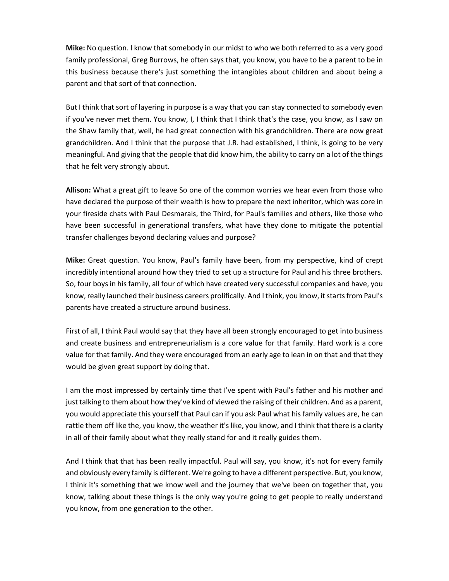**Mike:** No question. I know that somebody in our midst to who we both referred to as a very good family professional, Greg Burrows, he often says that, you know, you have to be a parent to be in this business because there's just something the intangibles about children and about being a parent and that sort of that connection.

But I think that sort of layering in purpose is a way that you can stay connected to somebody even if you've never met them. You know, I, I think that I think that's the case, you know, as I saw on the Shaw family that, well, he had great connection with his grandchildren. There are now great grandchildren. And I think that the purpose that J.R. had established, I think, is going to be very meaningful. And giving that the people that did know him, the ability to carry on a lot of the things that he felt very strongly about.

**Allison:** What a great gift to leave So one of the common worries we hear even from those who have declared the purpose of their wealth is how to prepare the next inheritor, which was core in your fireside chats with Paul Desmarais, the Third, for Paul's families and others, like those who have been successful in generational transfers, what have they done to mitigate the potential transfer challenges beyond declaring values and purpose?

**Mike:** Great question. You know, Paul's family have been, from my perspective, kind of crept incredibly intentional around how they tried to set up a structure for Paul and his three brothers. So, four boys in his family, all four of which have created very successful companies and have, you know, really launched their business careers prolifically. And I think, you know, it starts from Paul's parents have created a structure around business.

First of all, I think Paul would say that they have all been strongly encouraged to get into business and create business and entrepreneurialism is a core value for that family. Hard work is a core value for that family. And they were encouraged from an early age to lean in on that and that they would be given great support by doing that.

I am the most impressed by certainly time that I've spent with Paul's father and his mother and just talking to them about how they've kind of viewed the raising of their children. And as a parent, you would appreciate this yourself that Paul can if you ask Paul what his family values are, he can rattle them off like the, you know, the weather it's like, you know, and I think that there is a clarity in all of their family about what they really stand for and it really guides them.

And I think that that has been really impactful. Paul will say, you know, it's not for every family and obviously every family is different. We're going to have a different perspective. But, you know, I think it's something that we know well and the journey that we've been on together that, you know, talking about these things is the only way you're going to get people to really understand you know, from one generation to the other.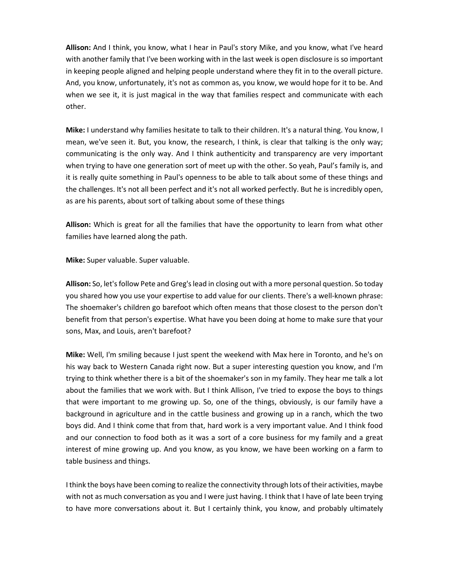**Allison:** And I think, you know, what I hear in Paul's story Mike, and you know, what I've heard with another family that I've been working with in the last week is open disclosure is so important in keeping people aligned and helping people understand where they fit in to the overall picture. And, you know, unfortunately, it's not as common as, you know, we would hope for it to be. And when we see it, it is just magical in the way that families respect and communicate with each other.

**Mike:** I understand why families hesitate to talk to their children. It's a natural thing. You know, I mean, we've seen it. But, you know, the research, I think, is clear that talking is the only way; communicating is the only way. And I think authenticity and transparency are very important when trying to have one generation sort of meet up with the other. So yeah, Paul's family is, and it is really quite something in Paul's openness to be able to talk about some of these things and the challenges. It's not all been perfect and it's not all worked perfectly. But he is incredibly open, as are his parents, about sort of talking about some of these things

**Allison:** Which is great for all the families that have the opportunity to learn from what other families have learned along the path.

**Mike:** Super valuable. Super valuable.

**Allison:** So, let's follow Pete and Greg's lead in closing out with a more personal question. So today you shared how you use your expertise to add value for our clients. There's a well-known phrase: The shoemaker's children go barefoot which often means that those closest to the person don't benefit from that person's expertise. What have you been doing at home to make sure that your sons, Max, and Louis, aren't barefoot?

**Mike:** Well, I'm smiling because I just spent the weekend with Max here in Toronto, and he's on his way back to Western Canada right now. But a super interesting question you know, and I'm trying to think whether there is a bit of the shoemaker's son in my family. They hear me talk a lot about the families that we work with. But I think Allison, I've tried to expose the boys to things that were important to me growing up. So, one of the things, obviously, is our family have a background in agriculture and in the cattle business and growing up in a ranch, which the two boys did. And I think come that from that, hard work is a very important value. And I think food and our connection to food both as it was a sort of a core business for my family and a great interest of mine growing up. And you know, as you know, we have been working on a farm to table business and things.

I think the boys have been coming to realize the connectivity through lots of their activities, maybe with not as much conversation as you and I were just having. I think that I have of late been trying to have more conversations about it. But I certainly think, you know, and probably ultimately